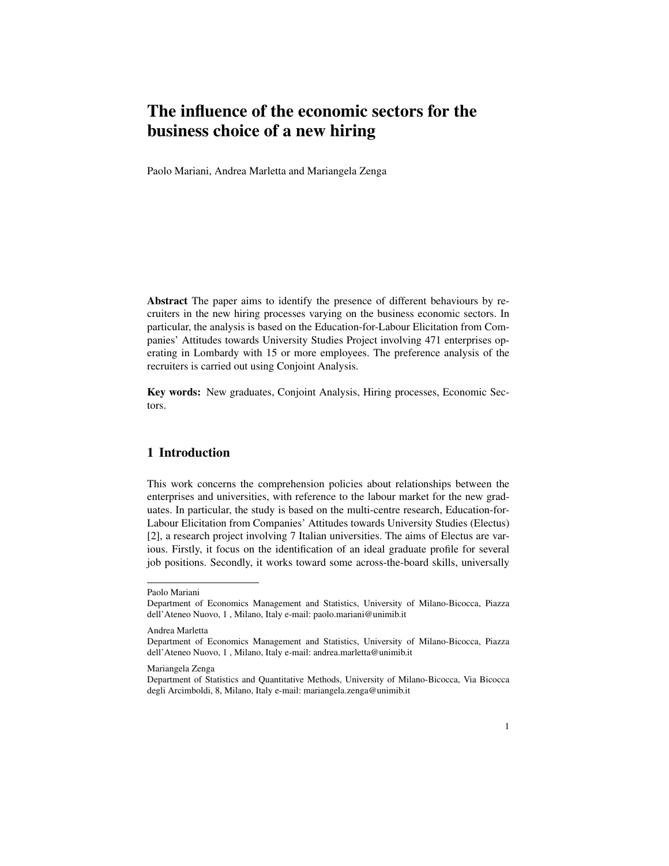# The influence of the economic sectors for the business choice of a new hiring

Paolo Mariani, Andrea Marletta and Mariangela Zenga

Abstract The paper aims to identify the presence of different behaviours by recruiters in the new hiring processes varying on the business economic sectors. In particular, the analysis is based on the Education-for-Labour Elicitation from Companies' Attitudes towards University Studies Project involving 471 enterprises operating in Lombardy with 15 or more employees. The preference analysis of the recruiters is carried out using Conjoint Analysis.

Key words: New graduates, Conjoint Analysis, Hiring processes, Economic Sectors.

# 1 Introduction

This work concerns the comprehension policies about relationships between the enterprises and universities, with reference to the labour market for the new graduates. In particular, the study is based on the multi-centre research, Education-for-Labour Elicitation from Companies' Attitudes towards University Studies (Electus) [2], a research project involving 7 Italian universities. The aims of Electus are various. Firstly, it focus on the identification of an ideal graduate profile for several job positions. Secondly, it works toward some across-the-board skills, universally

Paolo Mariani

Department of Economics Management and Statistics, University of Milano-Bicocca, Piazza dell'Ateneo Nuovo, 1 , Milano, Italy e-mail: paolo.mariani@unimib.it

Andrea Marletta

Department of Economics Management and Statistics, University of Milano-Bicocca, Piazza dell'Ateneo Nuovo, 1 , Milano, Italy e-mail: andrea.marletta@unimib.it

Mariangela Zenga

Department of Statistics and Quantitative Methods, University of Milano-Bicocca, Via Bicocca degli Arcimboldi, 8, Milano, Italy e-mail: mariangela.zenga@unimib.it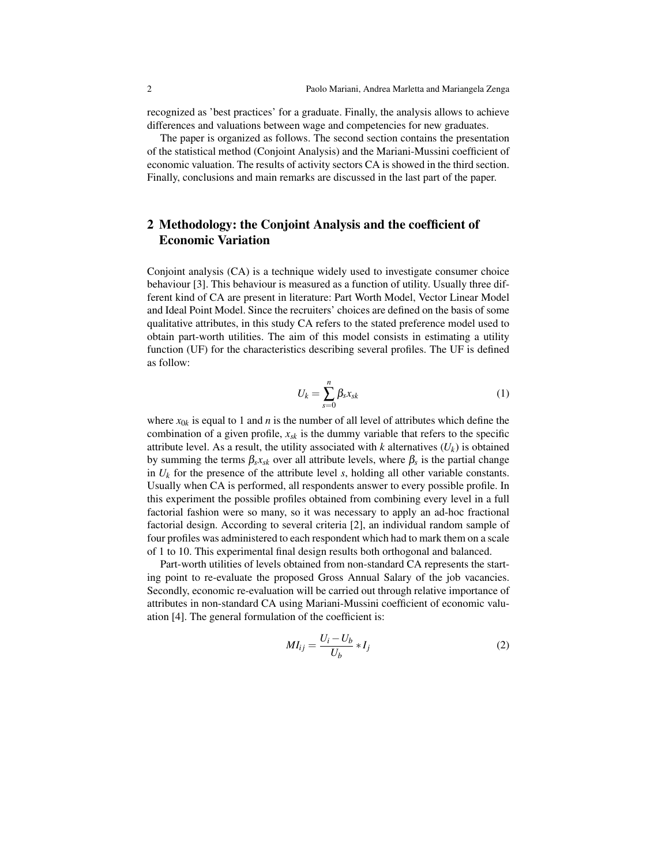recognized as 'best practices' for a graduate. Finally, the analysis allows to achieve differences and valuations between wage and competencies for new graduates.

The paper is organized as follows. The second section contains the presentation of the statistical method (Conjoint Analysis) and the Mariani-Mussini coefficient of economic valuation. The results of activity sectors CA is showed in the third section. Finally, conclusions and main remarks are discussed in the last part of the paper.

# 2 Methodology: the Conjoint Analysis and the coefficient of Economic Variation

Conjoint analysis (CA) is a technique widely used to investigate consumer choice behaviour [3]. This behaviour is measured as a function of utility. Usually three different kind of CA are present in literature: Part Worth Model, Vector Linear Model and Ideal Point Model. Since the recruiters' choices are defined on the basis of some qualitative attributes, in this study CA refers to the stated preference model used to obtain part-worth utilities. The aim of this model consists in estimating a utility function (UF) for the characteristics describing several profiles. The UF is defined as follow:

$$
U_k = \sum_{s=0}^n \beta_s x_{sk} \tag{1}
$$

where  $x_{0k}$  is equal to 1 and *n* is the number of all level of attributes which define the combination of a given profile,  $x_{sk}$  is the dummy variable that refers to the specific attribute level. As a result, the utility associated with *k* alternatives  $(U_k)$  is obtained by summing the terms  $\beta_s x_{sk}$  over all attribute levels, where  $\beta_s$  is the partial change in  $U_k$  for the presence of the attribute level *s*, holding all other variable constants. Usually when CA is performed, all respondents answer to every possible profile. In this experiment the possible profiles obtained from combining every level in a full factorial fashion were so many, so it was necessary to apply an ad-hoc fractional factorial design. According to several criteria [2], an individual random sample of four profiles was administered to each respondent which had to mark them on a scale of 1 to 10. This experimental final design results both orthogonal and balanced.

Part-worth utilities of levels obtained from non-standard CA represents the starting point to re-evaluate the proposed Gross Annual Salary of the job vacancies. Secondly, economic re-evaluation will be carried out through relative importance of attributes in non-standard CA using Mariani-Mussini coefficient of economic valuation [4]. The general formulation of the coefficient is:

$$
MI_{ij} = \frac{U_i - U_b}{U_b} * I_j
$$
 (2)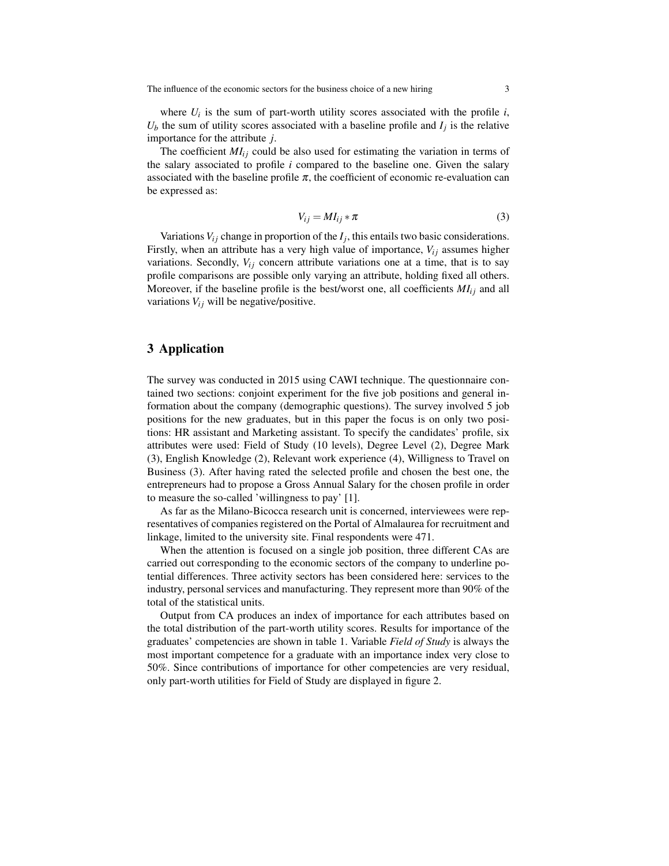where  $U_i$  is the sum of part-worth utility scores associated with the profile  $i$ ,  $U_b$  the sum of utility scores associated with a baseline profile and  $I_j$  is the relative importance for the attribute *j*.

The coefficient  $MI_{ij}$  could be also used for estimating the variation in terms of the salary associated to profile *i* compared to the baseline one. Given the salary associated with the baseline profile  $\pi$ , the coefficient of economic re-evaluation can be expressed as:

$$
V_{ij} = M I_{ij} * \pi \tag{3}
$$

Variations  $V_{ij}$  change in proportion of the  $I_j$ , this entails two basic considerations. Firstly, when an attribute has a very high value of importance,  $V_{ij}$  assumes higher variations. Secondly,  $V_{ij}$  concern attribute variations one at a time, that is to say profile comparisons are possible only varying an attribute, holding fixed all others. Moreover, if the baseline profile is the best/worst one, all coefficients  $MI_{ij}$  and all variations  $V_{ij}$  will be negative/positive.

#### 3 Application

The survey was conducted in 2015 using CAWI technique. The questionnaire contained two sections: conjoint experiment for the five job positions and general information about the company (demographic questions). The survey involved 5 job positions for the new graduates, but in this paper the focus is on only two positions: HR assistant and Marketing assistant. To specify the candidates' profile, six attributes were used: Field of Study (10 levels), Degree Level (2), Degree Mark (3), English Knowledge (2), Relevant work experience (4), Willigness to Travel on Business (3). After having rated the selected profile and chosen the best one, the entrepreneurs had to propose a Gross Annual Salary for the chosen profile in order to measure the so-called 'willingness to pay' [1].

As far as the Milano-Bicocca research unit is concerned, interviewees were representatives of companies registered on the Portal of Almalaurea for recruitment and linkage, limited to the university site. Final respondents were 471.

When the attention is focused on a single job position, three different CAs are carried out corresponding to the economic sectors of the company to underline potential differences. Three activity sectors has been considered here: services to the industry, personal services and manufacturing. They represent more than 90% of the total of the statistical units.

Output from CA produces an index of importance for each attributes based on the total distribution of the part-worth utility scores. Results for importance of the graduates' competencies are shown in table 1. Variable *Field of Study* is always the most important competence for a graduate with an importance index very close to 50%. Since contributions of importance for other competencies are very residual, only part-worth utilities for Field of Study are displayed in figure 2.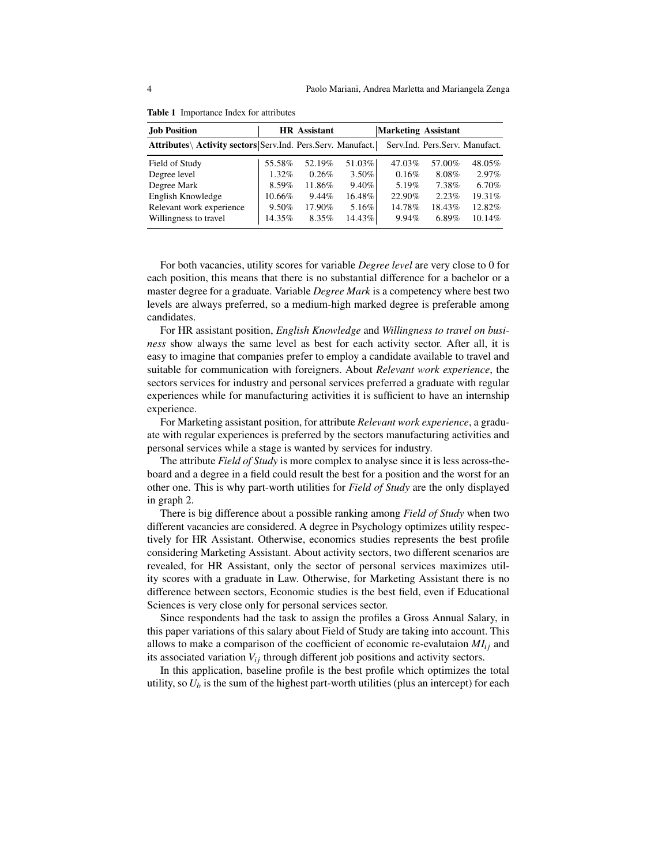| <b>Job Position</b>                                         |        | <b>HR</b> Assistant |          | <b>Marketing Assistant</b> |        |                                |
|-------------------------------------------------------------|--------|---------------------|----------|----------------------------|--------|--------------------------------|
| Attributes\ Activity sectors Serv.Ind. Pers.Serv. Manufact. |        |                     |          |                            |        | Serv.Ind. Pers.Serv. Manufact. |
| Field of Study                                              | 55.58% | 52.19%              | 51.03%   | 47.03%                     | 57.00% | 48.05%                         |
| Degree level                                                | 1.32%  | 0.26%               | $3.50\%$ | 0.16%                      | 8.08%  | $2.97\%$                       |
| Degree Mark                                                 | 8.59%  | 11.86%              | $9.40\%$ | $5.19\%$                   | 7.38%  | 6.70%                          |
| English Knowledge                                           | 10.66% | 9.44%               | 16.48%   | 22.90%                     | 2.23%  | 19.31%                         |
| Relevant work experience                                    | 9.50%  | 17.90%              | 5.16%    | 14.78%                     | 18.43% | 12.82%                         |
| Willingness to travel                                       | 14.35% | 8.35%               | 14.43%   | 9.94%                      | 6.89%  | 10.14%                         |

Table 1 Importance Index for attributes

For both vacancies, utility scores for variable *Degree level* are very close to 0 for each position, this means that there is no substantial difference for a bachelor or a master degree for a graduate. Variable *Degree Mark* is a competency where best two levels are always preferred, so a medium-high marked degree is preferable among candidates.

For HR assistant position, *English Knowledge* and *Willingness to travel on business* show always the same level as best for each activity sector. After all, it is easy to imagine that companies prefer to employ a candidate available to travel and suitable for communication with foreigners. About *Relevant work experience*, the sectors services for industry and personal services preferred a graduate with regular experiences while for manufacturing activities it is sufficient to have an internship experience.

For Marketing assistant position, for attribute *Relevant work experience*, a graduate with regular experiences is preferred by the sectors manufacturing activities and personal services while a stage is wanted by services for industry.

The attribute *Field of Study* is more complex to analyse since it is less across-theboard and a degree in a field could result the best for a position and the worst for an other one. This is why part-worth utilities for *Field of Study* are the only displayed in graph 2.

There is big difference about a possible ranking among *Field of Study* when two different vacancies are considered. A degree in Psychology optimizes utility respectively for HR Assistant. Otherwise, economics studies represents the best profile considering Marketing Assistant. About activity sectors, two different scenarios are revealed, for HR Assistant, only the sector of personal services maximizes utility scores with a graduate in Law. Otherwise, for Marketing Assistant there is no difference between sectors, Economic studies is the best field, even if Educational Sciences is very close only for personal services sector.

Since respondents had the task to assign the profiles a Gross Annual Salary, in this paper variations of this salary about Field of Study are taking into account. This allows to make a comparison of the coefficient of economic re-evalutaion  $MI_{ij}$  and its associated variation  $V_{ij}$  through different job positions and activity sectors.

In this application, baseline profile is the best profile which optimizes the total utility, so  $U_b$  is the sum of the highest part-worth utilities (plus an intercept) for each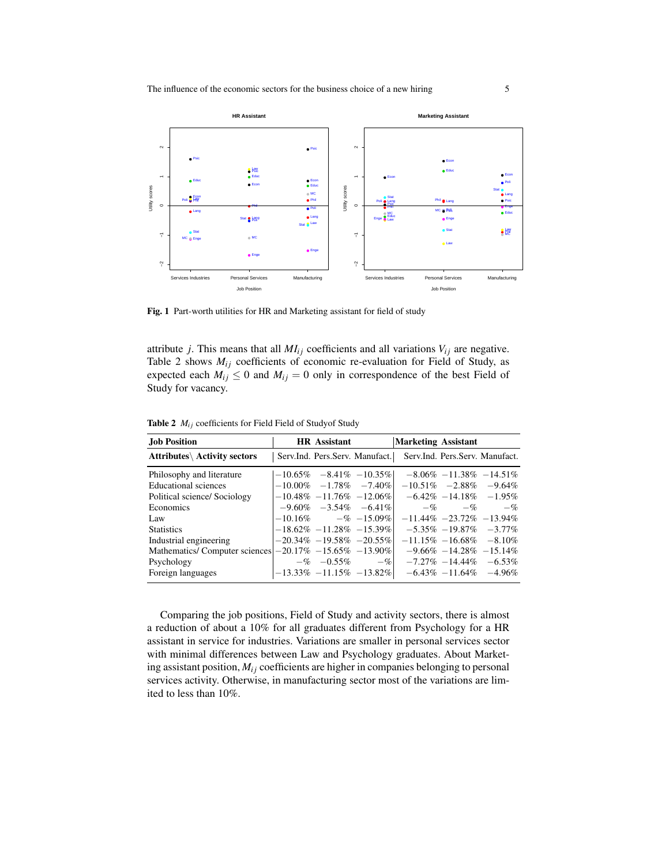

Fig. 1 Part-worth utilities for HR and Marketing assistant for field of study

attribute *j*. This means that all  $MI_{ij}$  coefficients and all variations  $V_{ij}$  are negative. Table 2 shows  $M_{ij}$  coefficients of economic re-evaluation for Field of Study, as expected each  $M_{ij} \leq 0$  and  $M_{ij} = 0$  only in correspondence of the best Field of Study for vacancy.

| <b>Job Position</b>                                            | <b>HR</b> Assistant |                              | <b>Marketing Assistant</b>                                    |                               |                             |
|----------------------------------------------------------------|---------------------|------------------------------|---------------------------------------------------------------|-------------------------------|-----------------------------|
| <b>Attributes</b> Activity sectors                             |                     |                              | Serv.Ind. Pers.Serv. Manufact. Serv.Ind. Pers.Serv. Manufact. |                               |                             |
| Philosophy and literature                                      |                     | $-10.65\% -8.41\% -10.35\%$  |                                                               |                               | $-8.06\% -11.38\% -14.51\%$ |
| Educational sciences                                           |                     | $-10.00\% -1.78\% -7.40\%$   |                                                               | $-10.51\% -2.88\% -9.64\%$    |                             |
| Political science/ Sociology                                   |                     | $-10.48\% -11.76\% -12.06\%$ |                                                               | $-6.42\% -14.18\% -1.95\%$    |                             |
| Economics                                                      |                     | $-9.60\% -3.54\% -6.41\%$    |                                                               | $-\%$ $-\%$ $-\%$             |                             |
| Law                                                            |                     | $-10.16\%$ $-$ % $-15.09\%$  |                                                               | $-11.44\% -23.72\% -13.94\%$  |                             |
| <b>Statistics</b>                                              |                     | $-18.62\% -11.28\% -15.39\%$ |                                                               | $-5.35\% -19.87\% -3.77\%$    |                             |
| Industrial engineering                                         |                     | $-20.34\% -19.58\% -20.55\%$ |                                                               | $-11.15\% - 16.68\% - 8.10\%$ |                             |
| Mathematics/Computer sciences $ -20.17\%  -15.65\%  -13.90\% $ |                     |                              |                                                               | $-9.66\% -14.28\% -15.14\%$   |                             |
| Psychology                                                     |                     | $-\% -0.55\% -\%$            |                                                               | $-7.27\% -14.44\% -6.53\%$    |                             |
| Foreign languages                                              |                     | $-13.33\% -11.15\% -13.82\%$ |                                                               | $-6.43\% -11.64\% -4.96\%$    |                             |

Table 2  $M_{ij}$  coefficients for Field Field of Studyof Study

Comparing the job positions, Field of Study and activity sectors, there is almost a reduction of about a 10% for all graduates different from Psychology for a HR assistant in service for industries. Variations are smaller in personal services sector with minimal differences between Law and Psychology graduates. About Marketing assistant position,  $M_{ij}$  coefficients are higher in companies belonging to personal services activity. Otherwise, in manufacturing sector most of the variations are limited to less than 10%.